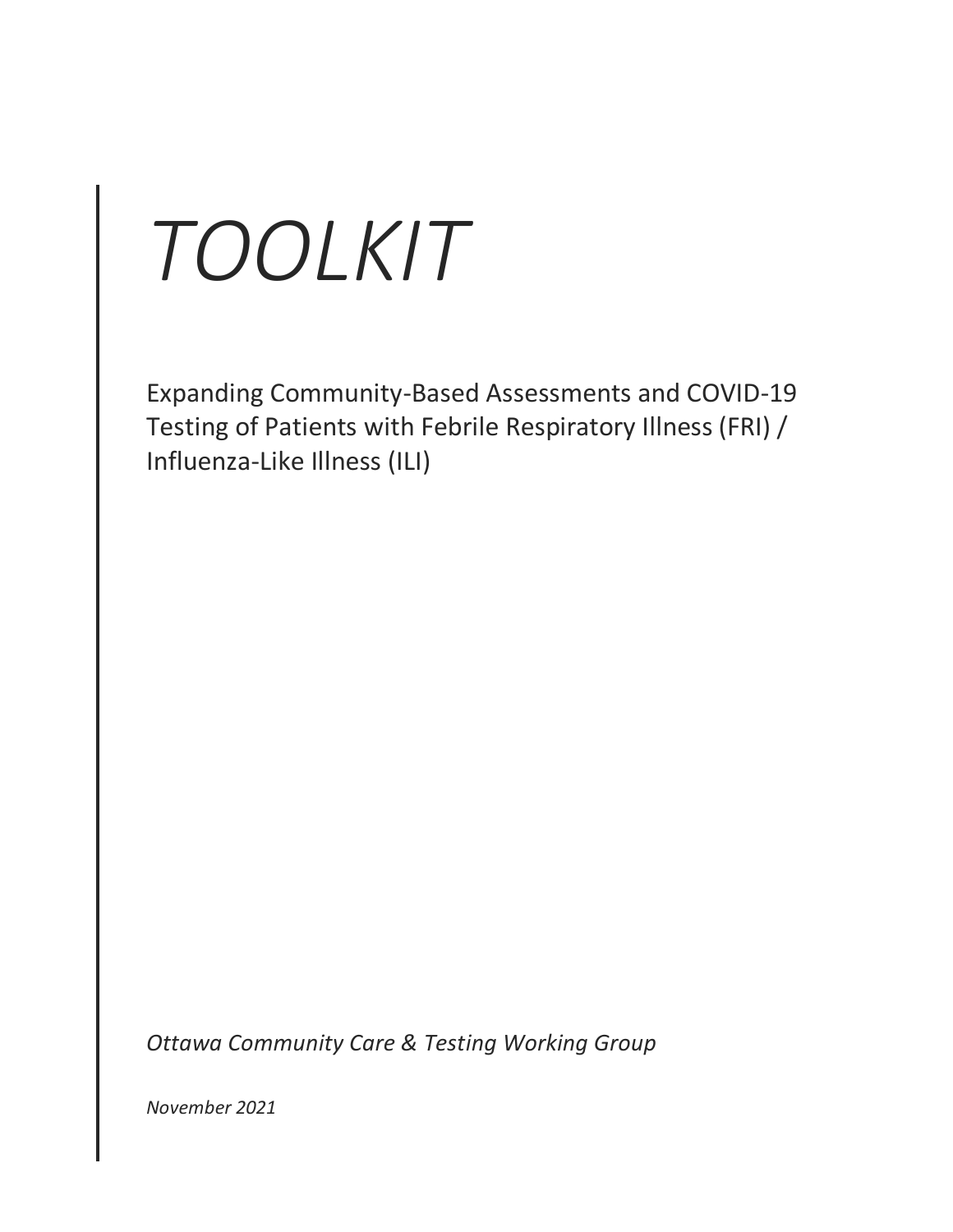# *TOOLKIT*

Expanding Community-Based Assessments and COVID-19 Testing of Patients with Febrile Respiratory Illness (FRI) / Influenza-Like Illness (ILI)

*Ottawa Community Care & Testing Working Group*

*November 2021*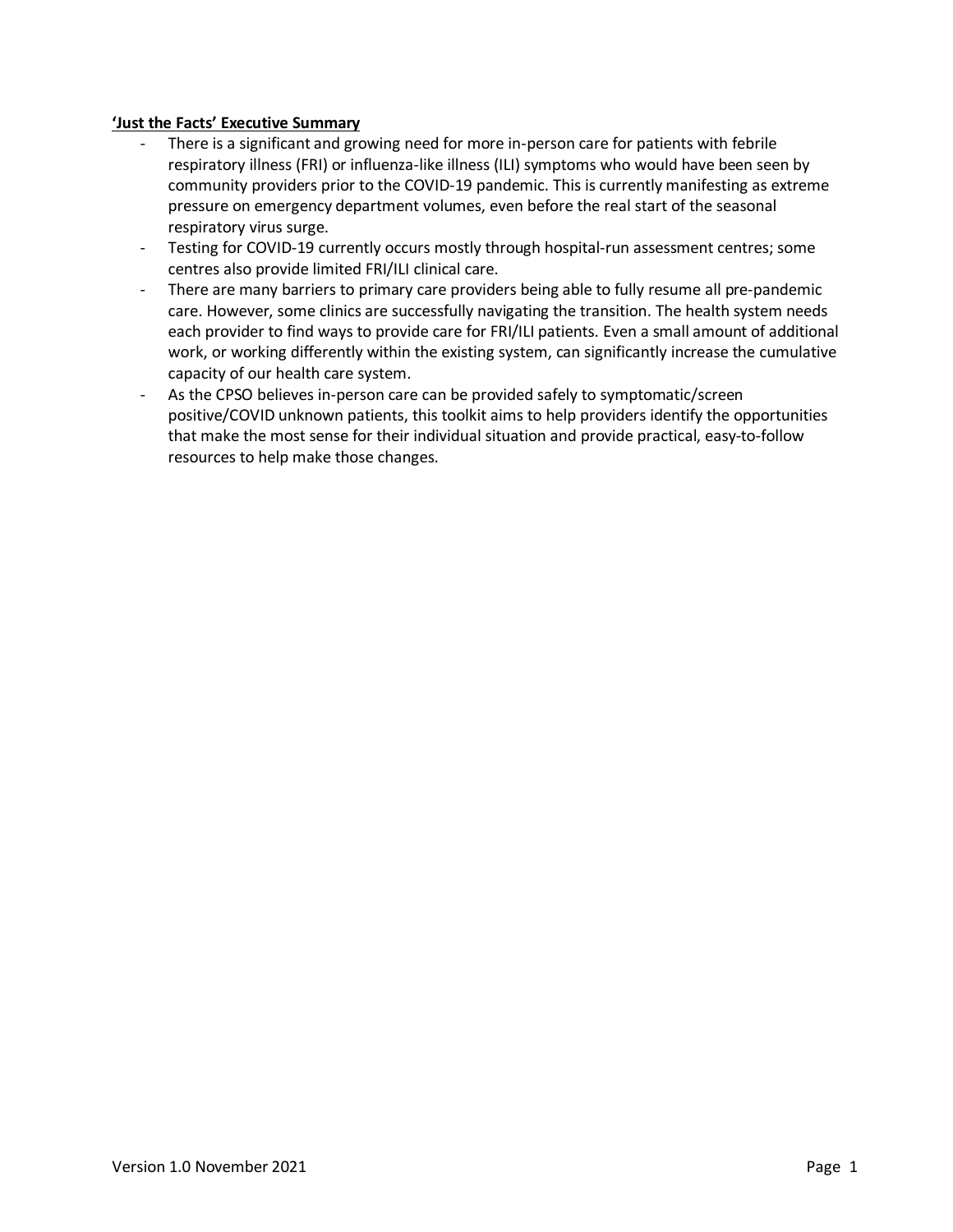#### **'Just the Facts' Executive Summary**

- There is a significant and growing need for more in-person care for patients with febrile respiratory illness (FRI) or influenza-like illness (ILI) symptoms who would have been seen by community providers prior to the COVID-19 pandemic. This is currently manifesting as extreme pressure on emergency department volumes, even before the real start of the seasonal respiratory virus surge.
- Testing for COVID-19 currently occurs mostly through hospital-run assessment centres; some centres also provide limited FRI/ILI clinical care.
- There are many barriers to primary care providers being able to fully resume all pre-pandemic care. However, some clinics are successfully navigating the transition. The health system needs each provider to find ways to provide care for FRI/ILI patients. Even a small amount of additional work, or working differently within the existing system, can significantly increase the cumulative capacity of our health care system.
- As the CPSO believes in-person care can be provided safely to symptomatic/screen positive/COVID unknown patients, this toolkit aims to help providers identify the opportunities that make the most sense for their individual situation and provide practical, easy-to-follow resources to help make those changes.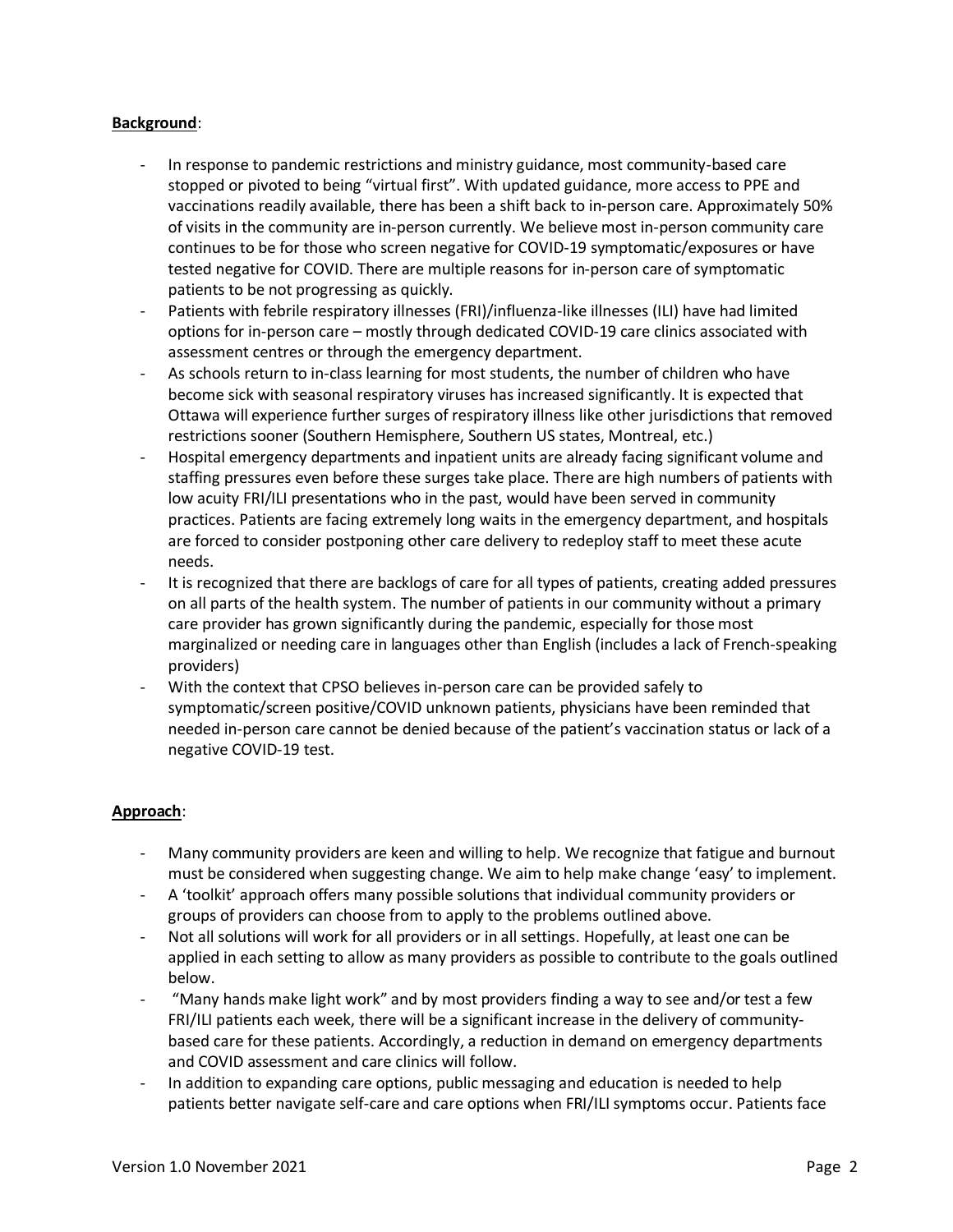#### **Background**:

- In response to pandemic restrictions and ministry guidance, most community-based care stopped or pivoted to being "virtual first". With updated guidance, more access to PPE and vaccinations readily available, there has been a shift back to in-person care. Approximately 50% of visits in the community are in-person currently. We believe most in-person community care continues to be for those who screen negative for COVID-19 symptomatic/exposures or have tested negative for COVID. There are multiple reasons for in-person care of symptomatic patients to be not progressing as quickly.
- Patients with febrile respiratory illnesses (FRI)/influenza-like illnesses (ILI) have had limited options for in-person care – mostly through dedicated COVID-19 care clinics associated with assessment centres or through the emergency department.
- As schools return to in-class learning for most students, the number of children who have become sick with seasonal respiratory viruses has increased significantly. It is expected that Ottawa will experience further surges of respiratory illness like other jurisdictions that removed restrictions sooner (Southern Hemisphere, Southern US states, Montreal, etc.)
- Hospital emergency departments and inpatient units are already facing significant volume and staffing pressures even before these surges take place. There are high numbers of patients with low acuity FRI/ILI presentations who in the past, would have been served in community practices. Patients are facing extremely long waits in the emergency department, and hospitals are forced to consider postponing other care delivery to redeploy staff to meet these acute needs.
- It is recognized that there are backlogs of care for all types of patients, creating added pressures on all parts of the health system. The number of patients in our community without a primary care provider has grown significantly during the pandemic, especially for those most marginalized or needing care in languages other than English (includes a lack of French-speaking providers)
- With the context that CPSO believes in-person care can be provided safely to symptomatic/screen positive/COVID unknown patients, physicians have been reminded that needed in-person care cannot be denied because of the patient's vaccination status or lack of a negative COVID-19 test.

#### **Approach**:

- Many community providers are keen and willing to help. We recognize that fatigue and burnout must be considered when suggesting change. We aim to help make change 'easy' to implement.
- A 'toolkit' approach offers many possible solutions that individual community providers or groups of providers can choose from to apply to the problems outlined above.
- Not all solutions will work for all providers or in all settings. Hopefully, at least one can be applied in each setting to allow as many providers as possible to contribute to the goals outlined below.
- "Many hands make light work" and by most providers finding a way to see and/or test a few FRI/ILI patients each week, there will be a significant increase in the delivery of communitybased care for these patients. Accordingly, a reduction in demand on emergency departments and COVID assessment and care clinics will follow.
- In addition to expanding care options, public messaging and education is needed to help patients better navigate self-care and care options when FRI/ILI symptoms occur. Patients face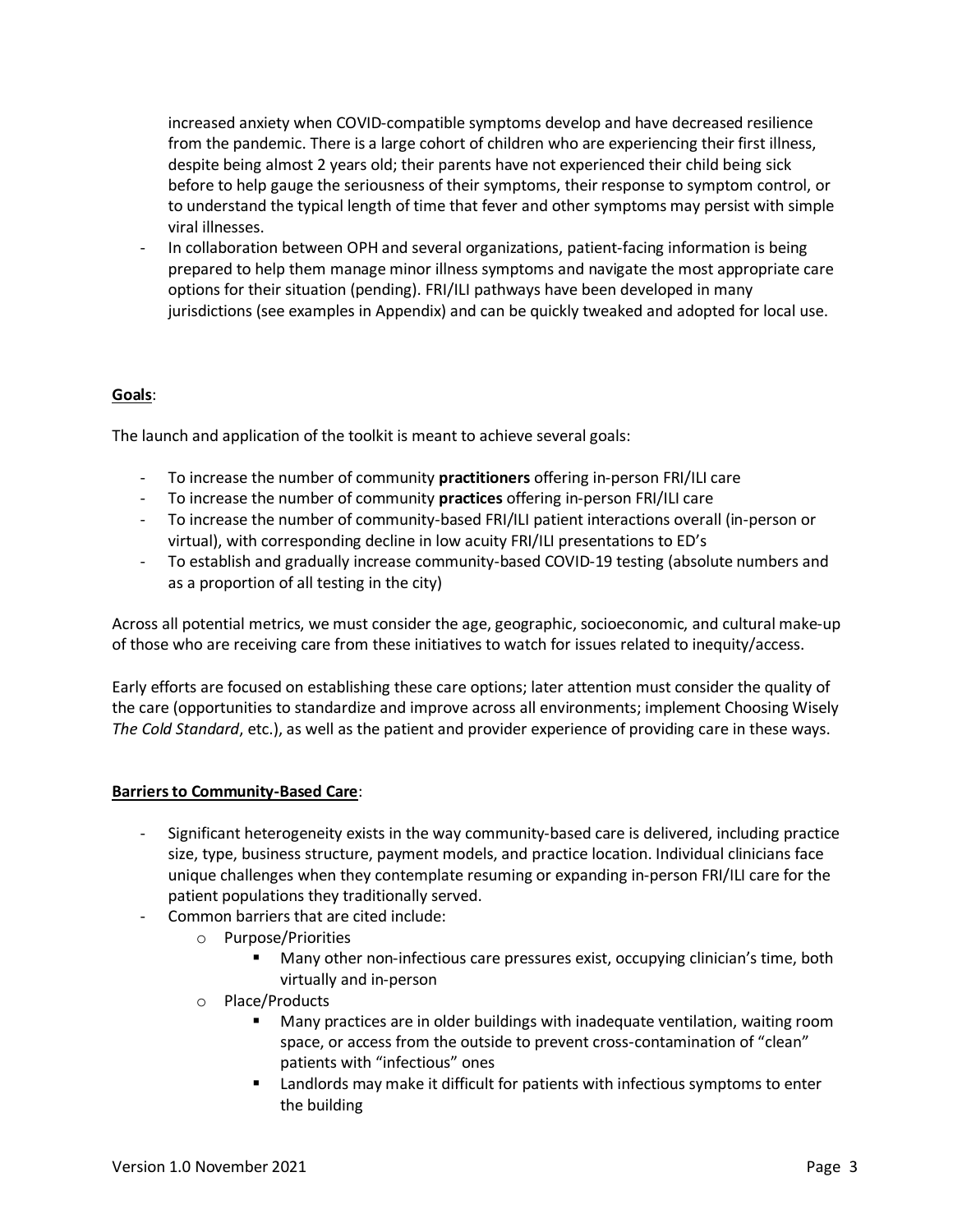increased anxiety when COVID-compatible symptoms develop and have decreased resilience from the pandemic. There is a large cohort of children who are experiencing their first illness, despite being almost 2 years old; their parents have not experienced their child being sick before to help gauge the seriousness of their symptoms, their response to symptom control, or to understand the typical length of time that fever and other symptoms may persist with simple viral illnesses.

In collaboration between OPH and several organizations, patient-facing information is being prepared to help them manage minor illness symptoms and navigate the most appropriate care options for their situation (pending). FRI/ILI pathways have been developed in many jurisdictions (see examples in Appendix) and can be quickly tweaked and adopted for local use.

#### **Goals**:

The launch and application of the toolkit is meant to achieve several goals:

- To increase the number of community **practitioners** offering in-person FRI/ILI care
- To increase the number of community **practices** offering in-person FRI/ILI care
- To increase the number of community-based FRI/ILI patient interactions overall (in-person or virtual), with corresponding decline in low acuity FRI/ILI presentations to ED's
- To establish and gradually increase community-based COVID-19 testing (absolute numbers and as a proportion of all testing in the city)

Across all potential metrics, we must consider the age, geographic, socioeconomic, and cultural make-up of those who are receiving care from these initiatives to watch for issues related to inequity/access.

Early efforts are focused on establishing these care options; later attention must consider the quality of the care (opportunities to standardize and improve across all environments; implement Choosing Wisely *The Cold Standard*, etc.), as well as the patient and provider experience of providing care in these ways.

#### **Barriers to Community-Based Care**:

- Significant heterogeneity exists in the way community-based care is delivered, including practice size, type, business structure, payment models, and practice location. Individual clinicians face unique challenges when they contemplate resuming or expanding in-person FRI/ILI care for the patient populations they traditionally served.
- Common barriers that are cited include:
	- o Purpose/Priorities
		- Many other non-infectious care pressures exist, occupying clinician's time, both virtually and in-person
	- o Place/Products
		- Many practices are in older buildings with inadequate ventilation, waiting room space, or access from the outside to prevent cross-contamination of "clean" patients with "infectious" ones
		- Landlords may make it difficult for patients with infectious symptoms to enter the building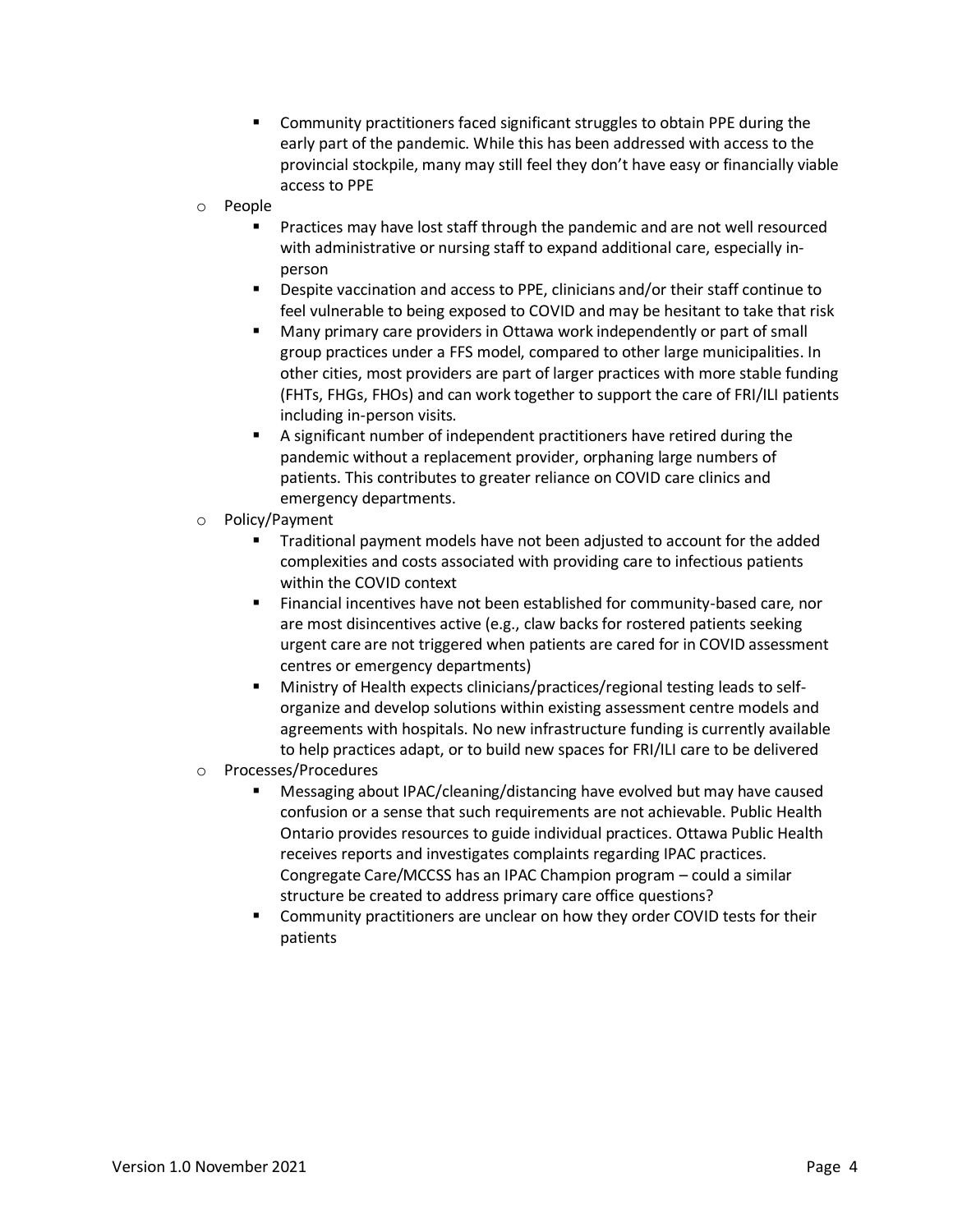- Community practitioners faced significant struggles to obtain PPE during the early part of the pandemic. While this has been addressed with access to the provincial stockpile, many may still feel they don't have easy or financially viable access to PPE
- o People
	- Practices may have lost staff through the pandemic and are not well resourced with administrative or nursing staff to expand additional care, especially inperson
	- Despite vaccination and access to PPE, clinicians and/or their staff continue to feel vulnerable to being exposed to COVID and may be hesitant to take that risk
	- Many primary care providers in Ottawa work independently or part of small group practices under a FFS model, compared to other large municipalities. In other cities, most providers are part of larger practices with more stable funding (FHTs, FHGs, FHOs) and can work together to support the care of FRI/ILI patients including in-person visits.
	- A significant number of independent practitioners have retired during the pandemic without a replacement provider, orphaning large numbers of patients. This contributes to greater reliance on COVID care clinics and emergency departments.
- o Policy/Payment
	- Traditional payment models have not been adjusted to account for the added complexities and costs associated with providing care to infectious patients within the COVID context
	- Financial incentives have not been established for community-based care, nor are most disincentives active (e.g., claw backs for rostered patients seeking urgent care are not triggered when patients are cared for in COVID assessment centres or emergency departments)
	- Ministry of Health expects clinicians/practices/regional testing leads to selforganize and develop solutions within existing assessment centre models and agreements with hospitals. No new infrastructure funding is currently available to help practices adapt, or to build new spaces for FRI/ILI care to be delivered
- o Processes/Procedures
	- Messaging about IPAC/cleaning/distancing have evolved but may have caused confusion or a sense that such requirements are not achievable. Public Health Ontario provides resources to guide individual practices. Ottawa Public Health receives reports and investigates complaints regarding IPAC practices. Congregate Care/MCCSS has an IPAC Champion program – could a similar structure be created to address primary care office questions?
	- Community practitioners are unclear on how they order COVID tests for their patients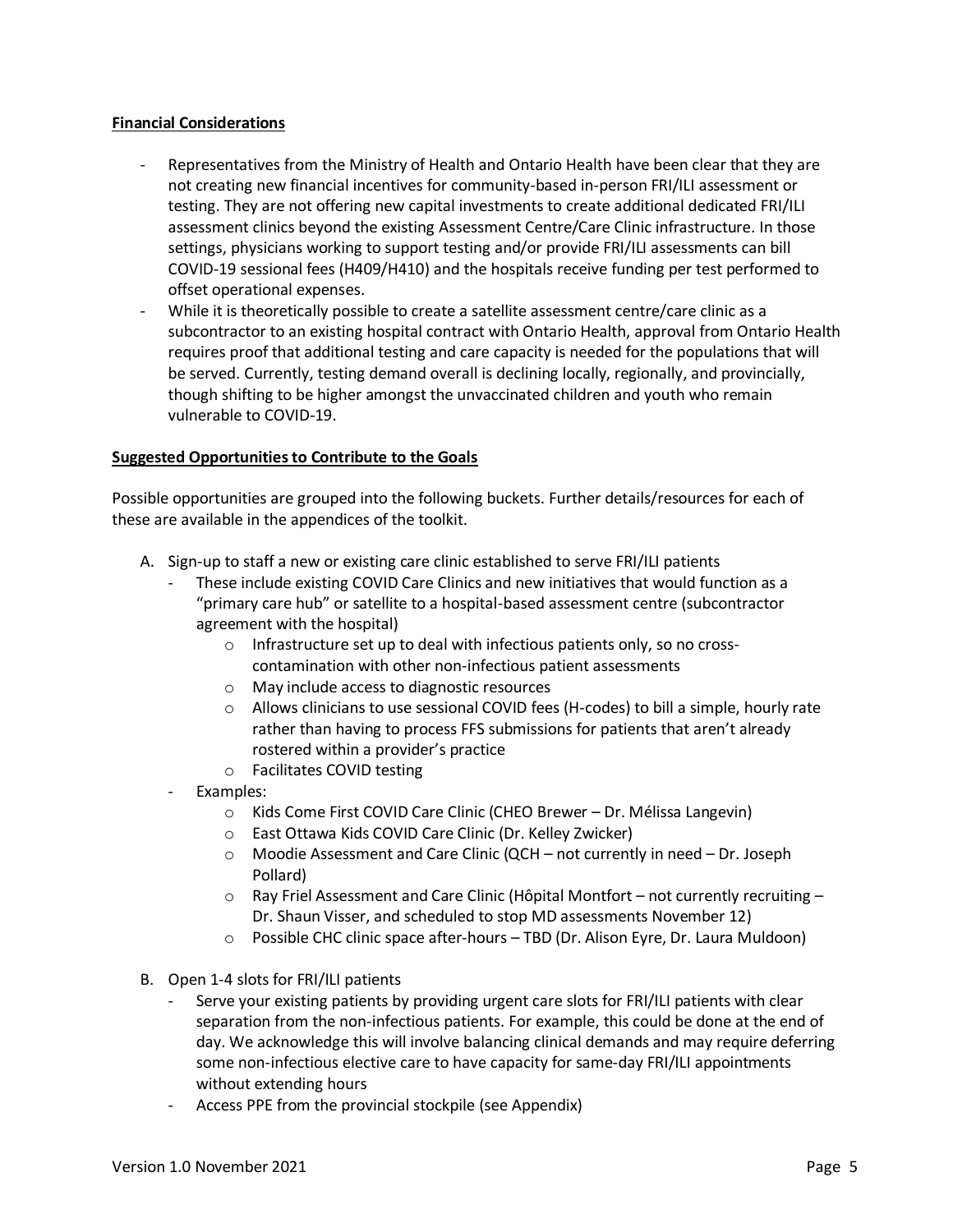#### **Financial Considerations**

- Representatives from the Ministry of Health and Ontario Health have been clear that they are not creating new financial incentives for community-based in-person FRI/ILI assessment or testing. They are not offering new capital investments to create additional dedicated FRI/ILI assessment clinics beyond the existing Assessment Centre/Care Clinic infrastructure. In those settings, physicians working to support testing and/or provide FRI/ILI assessments can bill COVID-19 sessional fees (H409/H410) and the hospitals receive funding per test performed to offset operational expenses.
- While it is theoretically possible to create a satellite assessment centre/care clinic as a subcontractor to an existing hospital contract with Ontario Health, approval from Ontario Health requires proof that additional testing and care capacity is needed for the populations that will be served. Currently, testing demand overall is declining locally, regionally, and provincially, though shifting to be higher amongst the unvaccinated children and youth who remain vulnerable to COVID-19.

#### **Suggested Opportunities to Contribute to the Goals**

Possible opportunities are grouped into the following buckets. Further details/resources for each of these are available in the appendices of the toolkit.

- A. Sign-up to staff a new or existing care clinic established to serve FRI/ILI patients
	- These include existing COVID Care Clinics and new initiatives that would function as a "primary care hub" or satellite to a hospital-based assessment centre (subcontractor agreement with the hospital)
		- o Infrastructure set up to deal with infectious patients only, so no crosscontamination with other non-infectious patient assessments
		- o May include access to diagnostic resources
		- $\circ$  Allows clinicians to use sessional COVID fees (H-codes) to bill a simple, hourly rate rather than having to process FFS submissions for patients that aren't already rostered within a provider's practice
		- o Facilitates COVID testing
	- Examples:
		- o Kids Come First COVID Care Clinic (CHEO Brewer Dr. Mélissa Langevin)
		- o East Ottawa Kids COVID Care Clinic (Dr. Kelley Zwicker)
		- o Moodie Assessment and Care Clinic (QCH not currently in need Dr. Joseph Pollard)
		- $\circ$  Ray Friel Assessment and Care Clinic (Hôpital Montfort not currently recruiting Dr. Shaun Visser, and scheduled to stop MD assessments November 12)
		- o Possible CHC clinic space after-hours TBD (Dr. Alison Eyre, Dr. Laura Muldoon)
- B. Open 1-4 slots for FRI/ILI patients
	- Serve your existing patients by providing urgent care slots for FRI/ILI patients with clear separation from the non-infectious patients. For example, this could be done at the end of day. We acknowledge this will involve balancing clinical demands and may require deferring some non-infectious elective care to have capacity for same-day FRI/ILI appointments without extending hours
	- Access PPE from the provincial stockpile (see Appendix)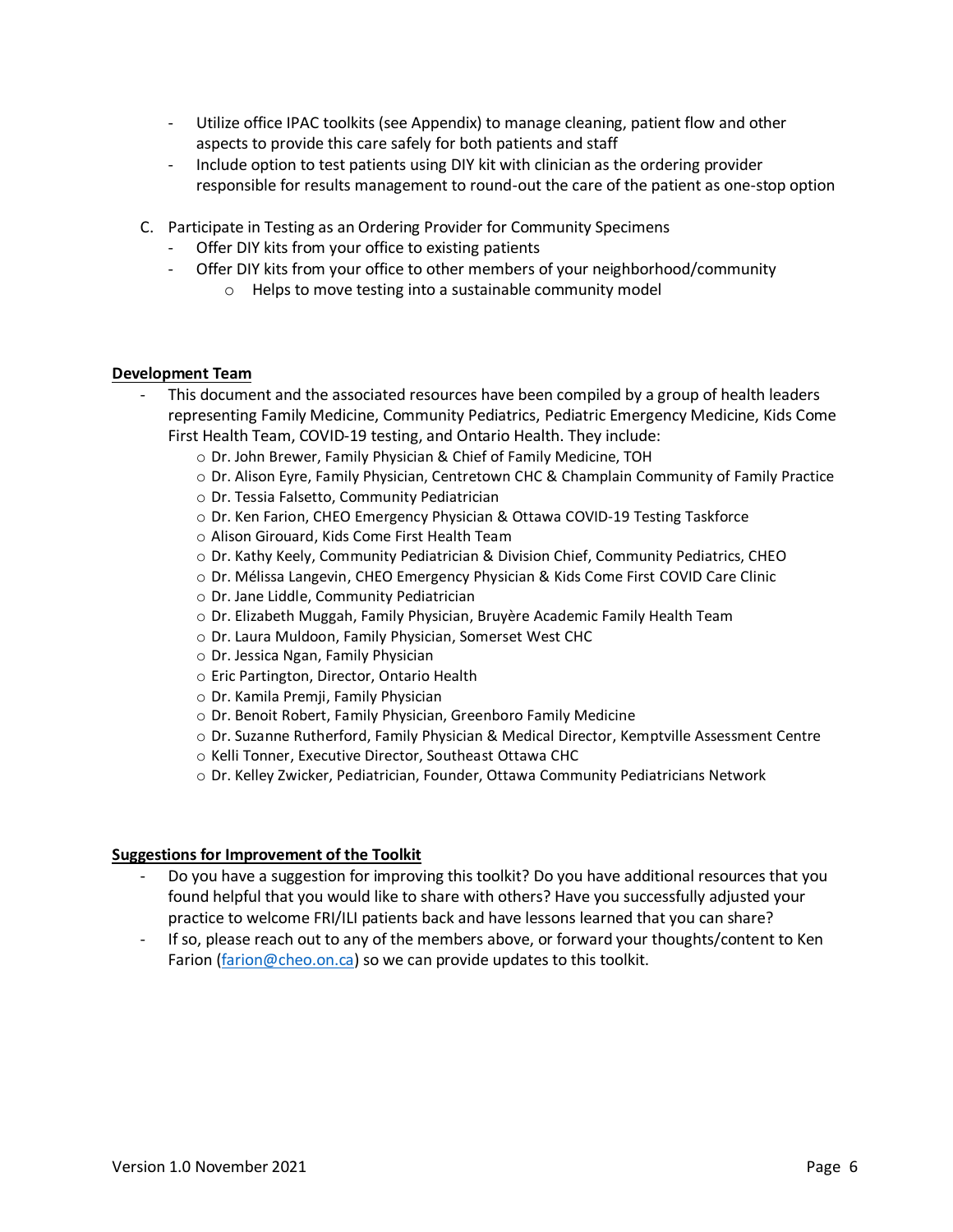- Utilize office IPAC toolkits (see Appendix) to manage cleaning, patient flow and other aspects to provide this care safely for both patients and staff
- Include option to test patients using DIY kit with clinician as the ordering provider responsible for results management to round-out the care of the patient as one-stop option
- C. Participate in Testing as an Ordering Provider for Community Specimens
	- Offer DIY kits from your office to existing patients
	- Offer DIY kits from your office to other members of your neighborhood/community
		- o Helps to move testing into a sustainable community model

#### **Development Team**

- This document and the associated resources have been compiled by a group of health leaders representing Family Medicine, Community Pediatrics, Pediatric Emergency Medicine, Kids Come First Health Team, COVID-19 testing, and Ontario Health. They include:
	- o Dr. John Brewer, Family Physician & Chief of Family Medicine, TOH
	- o Dr. Alison Eyre, Family Physician, Centretown CHC & Champlain Community of Family Practice
	- o Dr. Tessia Falsetto, Community Pediatrician
	- o Dr. Ken Farion, CHEO Emergency Physician & Ottawa COVID-19 Testing Taskforce
	- o Alison Girouard, Kids Come First Health Team
	- o Dr. Kathy Keely, Community Pediatrician & Division Chief, Community Pediatrics, CHEO
	- o Dr. Mélissa Langevin, CHEO Emergency Physician & Kids Come First COVID Care Clinic
	- o Dr. Jane Liddle, Community Pediatrician
	- o Dr. Elizabeth Muggah, Family Physician, Bruyère Academic Family Health Team
	- o Dr. Laura Muldoon, Family Physician, Somerset West CHC
	- o Dr. Jessica Ngan, Family Physician
	- o Eric Partington, Director, Ontario Health
	- o Dr. Kamila Premji, Family Physician
	- o Dr. Benoit Robert, Family Physician, Greenboro Family Medicine
	- o Dr. Suzanne Rutherford, Family Physician & Medical Director, Kemptville Assessment Centre
	- o Kelli Tonner, Executive Director, Southeast Ottawa CHC
	- o Dr. Kelley Zwicker, Pediatrician, Founder, Ottawa Community Pediatricians Network

#### **Suggestions for Improvement of the Toolkit**

- Do you have a suggestion for improving this toolkit? Do you have additional resources that you found helpful that you would like to share with others? Have you successfully adjusted your practice to welcome FRI/ILI patients back and have lessons learned that you can share?
- If so, please reach out to any of the members above, or forward your thoughts/content to Ken Farion [\(farion@cheo.on.ca](mailto:farion@cheo.on.ca)) so we can provide updates to this toolkit.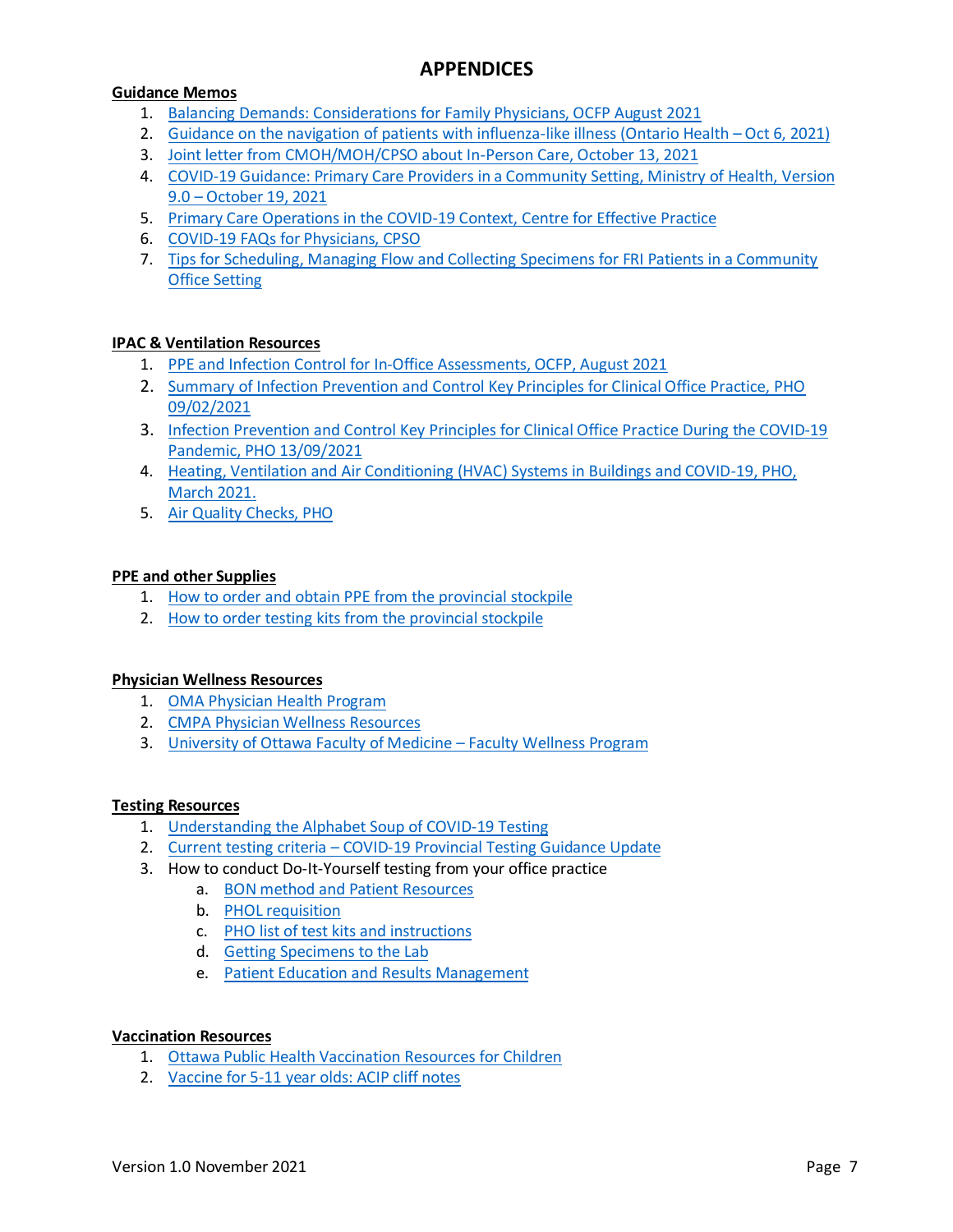#### **Guidance Memos**

- 1. [Balancing Demands: Considerations for Family Physicians, OCFP August 2021](https://www.ontariofamilyphysicians.ca/tools-resources/covid-19-resources/clinical-care-office-readiness/covid-balancing-demands.pdf)
- 2. Guidance on the navigation of patients with influenza-like illness [\(Ontario Health](https://www.ontariohealth.ca/sites/ontariohealth/files/2021-10/Guidance%20on%20the%20navigation%20of%20patients%20with%20influenza-like%20illness.pdf)  Oct 6, 2021)
- 3. [Joint letter from CMOH/MOH/CPSO about In-Person Care, October 13, 2021](https://www.cpso.on.ca/en/News/COVID-19-Updates/Information-for-Physicians/COVID-19-update-regarding-the-provision-of-in-(1))
- 4. [COVID-19 Guidance: Primary Care Providers in a Community Setting, Ministry of Health, Version](https://www.health.gov.on.ca/en/pro/programs/publichealth/coronavirus/docs/2019_primary_care_guidance.pdf) 9.0 – October 19, 2021
- 5. [Primary Care Operations in the COVID-19 Context, Centre for Effective Practice](https://tools.cep.health/tool/pc-ops-covid-19-context/#new-ohip-codes-and-updates-to-prescribing-rules-and-regulations)
- 6. [COVID-19 FAQs for Physicians, CPSO](https://www.cpso.on.ca/Physicians/Your-Practice/Physician-Advisory-Services/COVID-19-FAQs-for-Physicians?utm_source=link.cep.health&utm_medium=urlshortener&utm_campaign=covid-wave2)
- 7. [Tips for Scheduling, Managing Flow and Collecting Specimens for FRI Patients in a Community](#page-8-0)  Office Setting

#### **IPAC & Ventilation Resources**

- 1. [PPE and Infection Control for In-Office Assessments, OCFP, August 2021](https://www.ontariofamilyphysicians.ca/tools-resources/timely-trending/novel-coronavirus-2019-ncov/ocfp-ppe-for-hpc-visual-june-2020.pdf)
- 2. [Summary of Infection Prevention and Control Key Principles for Clinical Office Practice, PHO](https://www.publichealthontario.ca/-/media/documents/ncov/ipac/2021/09/covid-19-summary-ipac-key-principles-clinical-office-practice.pdf?sc_lang=en)  09/02/2021
- 3. [Infection Prevention and Control Key Principles for Clinical Office Practice During the COVID-19](https://www.publichealthontario.ca/-/media/documents/ncov/ipac/2020/09/checklist-assessment-primary-care-spec-walk-in-clinics.pdf?sc_lang=en)  Pandemic, PHO 13/09/2021
- 4. [Heating, Ventilation and Air Conditioning \(HVAC\) Systems in Buildings and COVID-19, PHO,](https://www.publichealthontario.ca/-/media/documents/ncov/ipac/2020/09/covid-19-hvac-systems-in-buildings.pdf?la=en)  March 2021.
- 5. [Air Quality Checks, PHO](https://www.ontariofamilyphysicians.ca/tools-resources/covid-19-resources/clinical-care-office-readiness/air-quality-check.pdf)

#### **PPE and other Supplies**

- 1. [How to order and obtain PPE from the provincial stockpile](https://www.youtube.com/watch?v=NdhnZbbqGc0)
- 2. [How to order testing kits from the provincial stockpile](https://can01.safelinks.protection.outlook.com/?url=https%3A%2F%2Fyoutu.be%2F5zyC8uwvb_I&data=04%7C01%7CFarion%40cheo.on.ca%7C0d68cb291c514e54ed0308d9a46366b1%7C219bf6057ee74841ae574e4147b8d97a%7C0%7C0%7C637721569091034823%7CUnknown%7CTWFpbGZsb3d8eyJWIjoiMC4wLjAwMDAiLCJQIjoiV2luMzIiLCJBTiI6Ik1haWwiLCJXVCI6Mn0%3D%7C1000&sdata=mwLepF5Bjxl2cXnb%2FqVfGO0OGOuxQZe9mS5UODf9DBs%3D&reserved=0)

#### **Physician Wellness Resources**

- 1. [OMA Physician Health Program](https://php.oma.org/)
- 2. [CMPA Physician Wellness Resources](https://www.cmpa-acpm.ca/en/covid19/physician-wellness-resources)
- 3. [University of Ottawa Faculty of Medicine](https://med.uottawa.ca/professional-affairs/faculty-wellness-program)  Faculty Wellness Program

#### **Testing Resources**

- 1. Understanding the [Alphabet Soup of COVID-19 Testing](#page-11-0)
- 2. Current testing criteria [COVID-19 Provincial Testing Guidance Update](#page-13-0)
- 3. How to conduct Do-It-Yourself testing from your office practice
	- a. BON method [and Patient Resources](http://BON%20method%20and%20Patient%20Resources)
		- b. [PHOL requisition](https://www.publichealthontario.ca/-/media/documents/lab/2019-ncov-test-requisition.pdf?sc_lang=en)
		- c. [PHO list of test kits](https://www.publichealthontario.ca/en/laboratory-services/test-information-index/covid-19) and instructions
		- d. Getting [Specimens to the Lab](#page-16-0)
		- e. [Patient Education and Results Management](#page-16-0)

#### **Vaccination Resources**

- 1. [Ottawa Public Health Vaccination Resources for Children](https://www.ottawapublichealth.ca/en/public-health-topics/covid-19-vaccination-and-children.aspx)
- 2. [Vaccine for 5-11 year olds: ACIP cliff notes](https://yourlocalepidemiologist.substack.com/p/vaccine-for-5-11-year-olds-acip-cliff?justPublished=true&fbclid=IwAR32BSlgNo4Ij4BSY0U9-SqrFjqhm4DQEUYDRzEL_W85zsoYADdCecbreB0)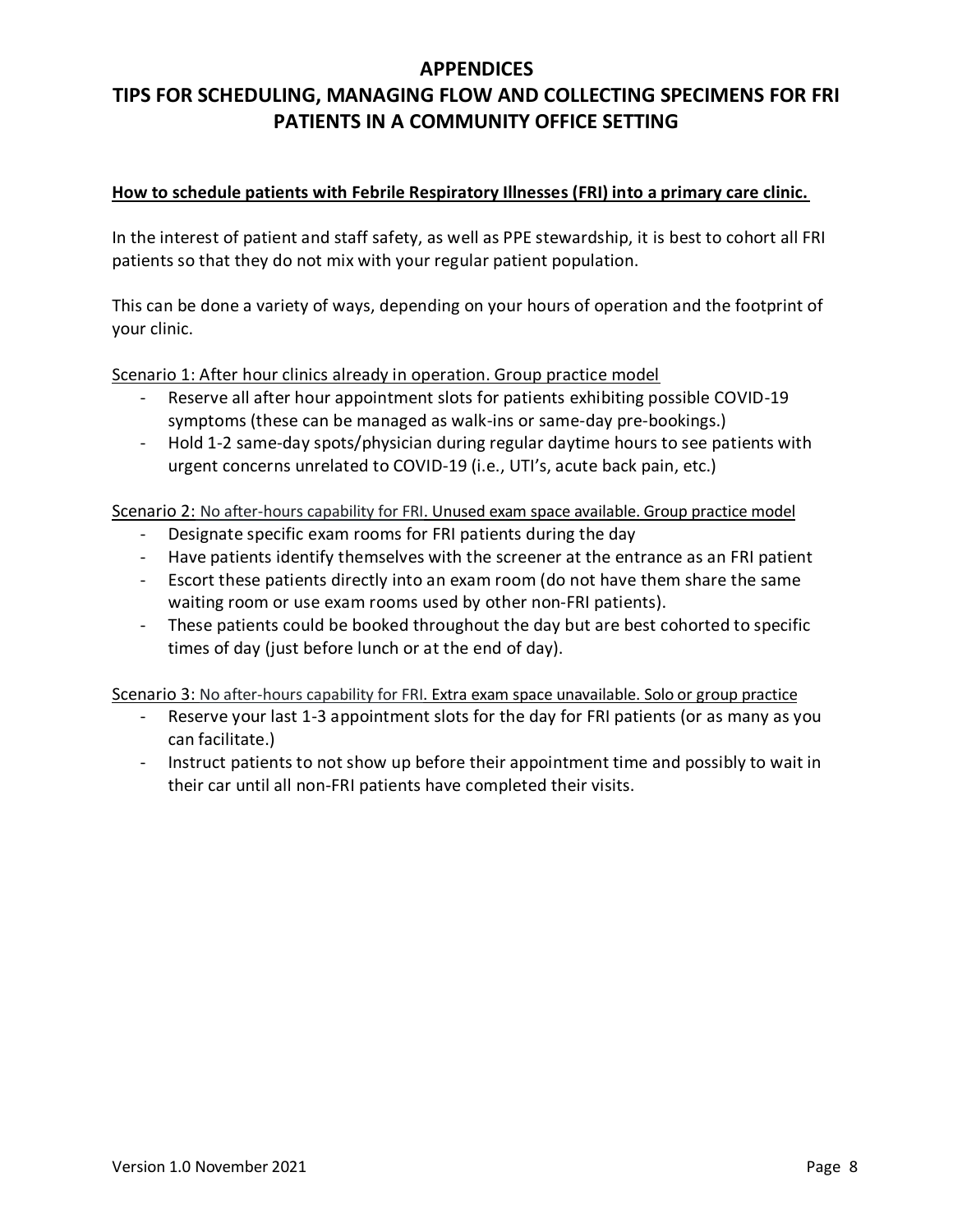# <span id="page-8-0"></span>**TIPS FOR SCHEDULING, MANAGING FLOW AND COLLECTING SPECIMENS FOR FRI PATIENTS IN A COMMUNITY OFFICE SETTING**

#### **How to schedule patients with Febrile Respiratory Illnesses (FRI) into a primary care clinic.**

In the interest of patient and staff safety, as well as PPE stewardship, it is best to cohort all FRI patients so that they do not mix with your regular patient population.

This can be done a variety of ways, depending on your hours of operation and the footprint of your clinic.

Scenario 1: After hour clinics already in operation. Group practice model

- Reserve all after hour appointment slots for patients exhibiting possible COVID-19 symptoms (these can be managed as walk-ins or same-day pre-bookings.)
- Hold 1-2 same-day spots/physician during regular daytime hours to see patients with urgent concerns unrelated to COVID-19 (i.e., UTI's, acute back pain, etc.)

Scenario 2: No after-hours capability for FRI. Unused exam space available. Group practice model

- Designate specific exam rooms for FRI patients during the day
- Have patients identify themselves with the screener at the entrance as an FRI patient
- Escort these patients directly into an exam room (do not have them share the same waiting room or use exam rooms used by other non-FRI patients).
- These patients could be booked throughout the day but are best cohorted to specific times of day (just before lunch or at the end of day).

Scenario 3: No after-hours capability for FRI. Extra exam space unavailable. Solo or group practice

- Reserve your last 1-3 appointment slots for the day for FRI patients (or as many as you can facilitate.)
- Instruct patients to not show up before their appointment time and possibly to wait in their car until all non-FRI patients have completed their visits.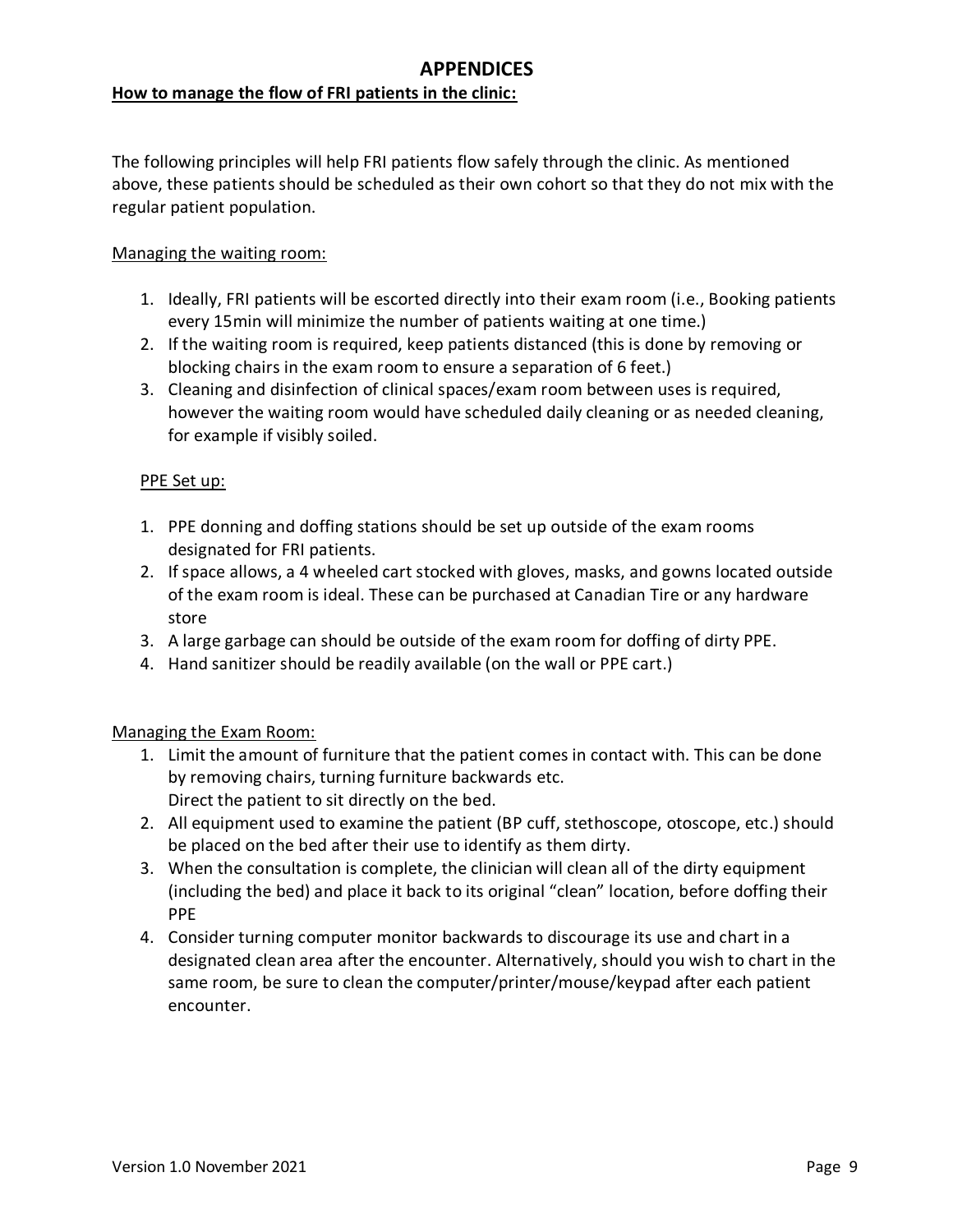#### **How to manage the flow of FRI patients in the clinic:**

The following principles will help FRI patients flow safely through the clinic. As mentioned above, these patients should be scheduled as their own cohort so that they do not mix with the regular patient population.

#### Managing the waiting room:

- 1. Ideally, FRI patients will be escorted directly into their exam room (i.e., Booking patients every 15min will minimize the number of patients waiting at one time.)
- 2. If the waiting room is required, keep patients distanced (this is done by removing or blocking chairs in the exam room to ensure a separation of 6 feet.)
- 3. Cleaning and disinfection of clinical spaces/exam room between uses is required, however the waiting room would have scheduled daily cleaning or as needed cleaning, for example if visibly soiled.

#### PPE Set up:

- 1. PPE donning and doffing stations should be set up outside of the exam rooms designated for FRI patients.
- 2. If space allows, a 4 wheeled cart stocked with gloves, masks, and gowns located outside of the exam room is ideal. These can be purchased at Canadian Tire or any hardware store
- 3. A large garbage can should be outside of the exam room for doffing of dirty PPE.
- 4. Hand sanitizer should be readily available (on the wall or PPE cart.)

#### Managing the Exam Room:

- 1. Limit the amount of furniture that the patient comes in contact with. This can be done by removing chairs, turning furniture backwards etc. Direct the patient to sit directly on the bed.
- 2. All equipment used to examine the patient (BP cuff, stethoscope, otoscope, etc.) should be placed on the bed after their use to identify as them dirty.
- 3. When the consultation is complete, the clinician will clean all of the dirty equipment (including the bed) and place it back to its original "clean" location, before doffing their PPE
- 4. Consider turning computer monitor backwards to discourage its use and chart in a designated clean area after the encounter. Alternatively, should you wish to chart in the same room, be sure to clean the computer/printer/mouse/keypad after each patient encounter.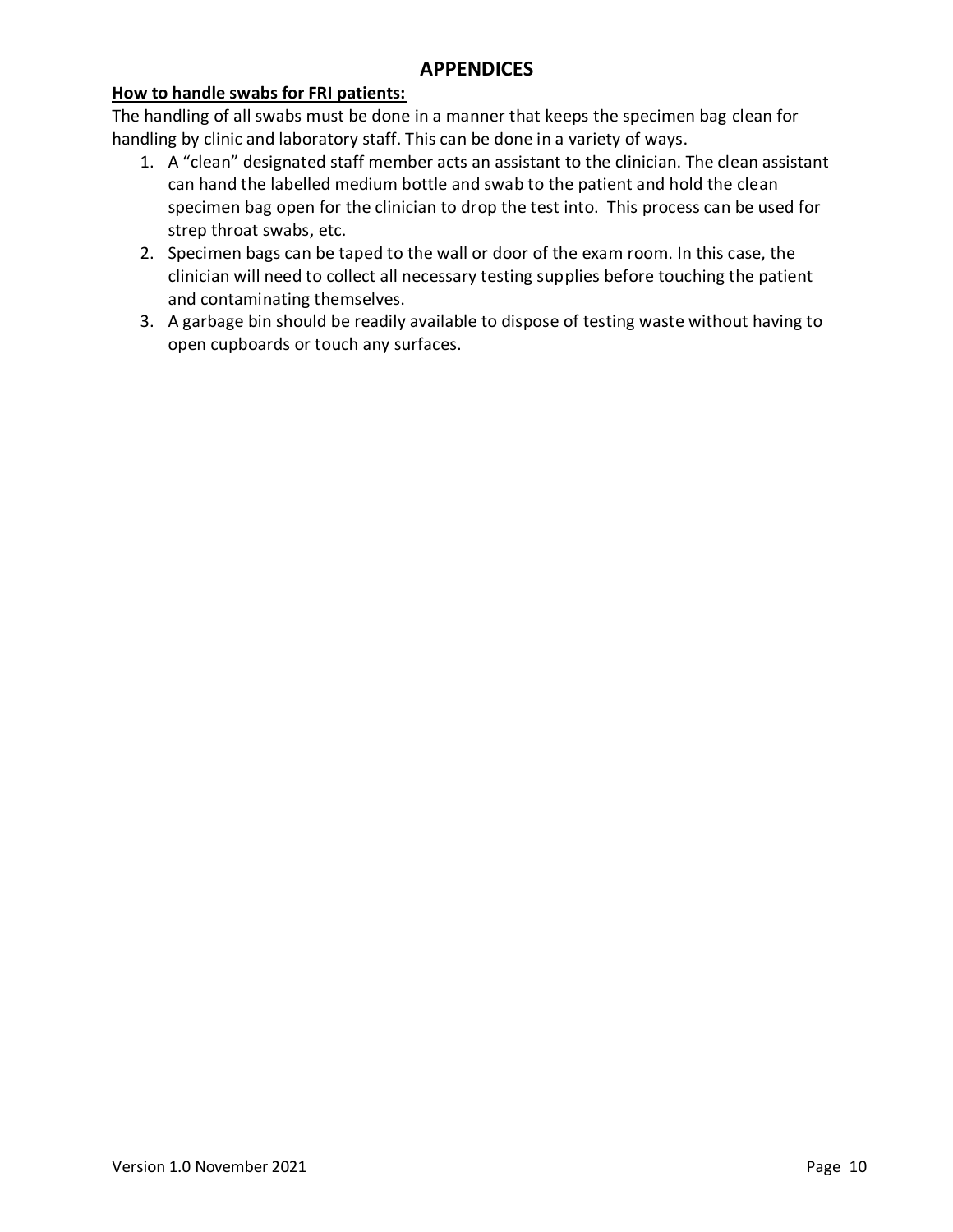#### **How to handle swabs for FRI patients:**

The handling of all swabs must be done in a manner that keeps the specimen bag clean for handling by clinic and laboratory staff. This can be done in a variety of ways.

- 1. A "clean" designated staff member acts an assistant to the clinician. The clean assistant can hand the labelled medium bottle and swab to the patient and hold the clean specimen bag open for the clinician to drop the test into. This process can be used for strep throat swabs, etc.
- 2. Specimen bags can be taped to the wall or door of the exam room. In this case, the clinician will need to collect all necessary testing supplies before touching the patient and contaminating themselves.
- 3. A garbage bin should be readily available to dispose of testing waste without having to open cupboards or touch any surfaces.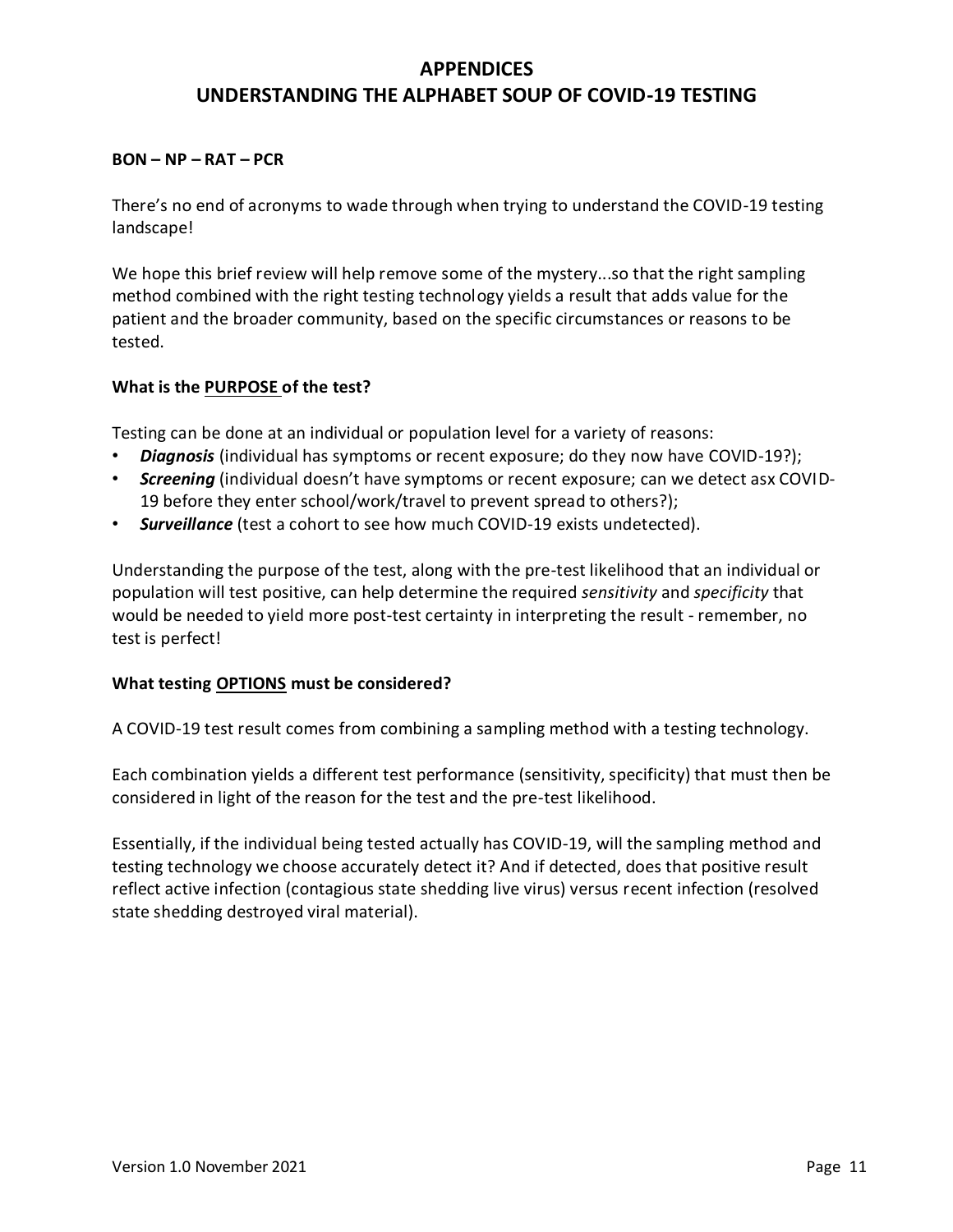# **APPENDICES UNDERSTANDING THE ALPHABET SOUP OF COVID-19 TESTING**

#### <span id="page-11-0"></span>**BON – NP – RAT – PCR**

There's no end of acronyms to wade through when trying to understand the COVID-19 testing landscape!

We hope this brief review will help remove some of the mystery...so that the right sampling method combined with the right testing technology yields a result that adds value for the patient and the broader community, based on the specific circumstances or reasons to be tested.

#### **What is the PURPOSE of the test?**

Testing can be done at an individual or population level for a variety of reasons:

- *Diagnosis* (individual has symptoms or recent exposure; do they now have COVID-19?);
- *Screening* (individual doesn't have symptoms or recent exposure; can we detect asx COVID-19 before they enter school/work/travel to prevent spread to others?);
- *Surveillance* (test a cohort to see how much COVID-19 exists undetected).

Understanding the purpose of the test, along with the pre-test likelihood that an individual or population will test positive, can help determine the required *sensitivity* and *specificity* that would be needed to yield more post-test certainty in interpreting the result - remember, no test is perfect!

#### **What testing OPTIONS must be considered?**

A COVID-19 test result comes from combining a sampling method with a testing technology.

Each combination yields a different test performance (sensitivity, specificity) that must then be considered in light of the reason for the test and the pre-test likelihood.

Essentially, if the individual being tested actually has COVID-19, will the sampling method and testing technology we choose accurately detect it? And if detected, does that positive result reflect active infection (contagious state shedding live virus) versus recent infection (resolved state shedding destroyed viral material).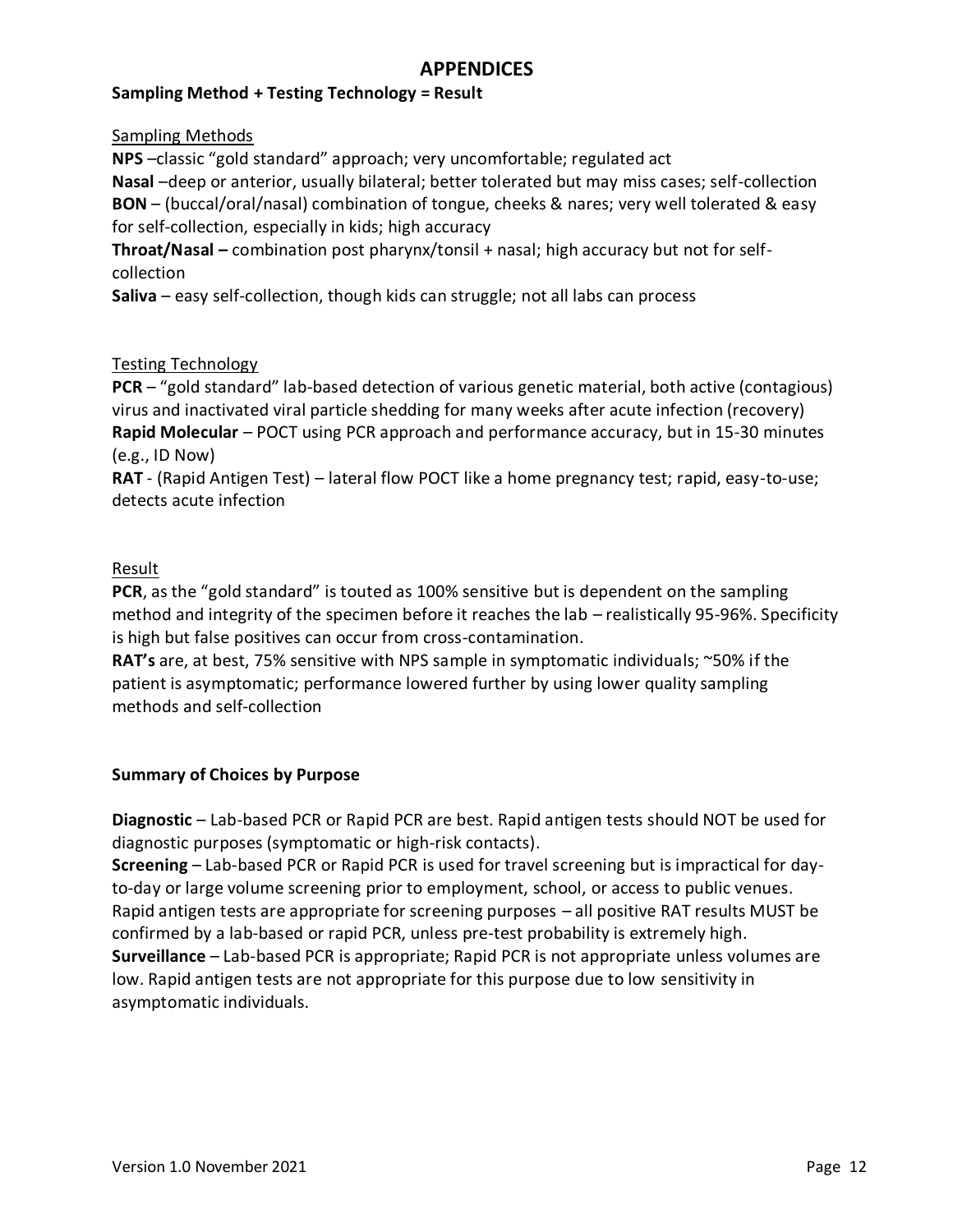#### **Sampling Method + Testing Technology = Result**

Sampling Methods

**NPS** –classic "gold standard" approach; very uncomfortable; regulated act **Nasal** –deep or anterior, usually bilateral; better tolerated but may miss cases; self-collection **BON** – (buccal/oral/nasal) combination of tongue, cheeks & nares; very well tolerated & easy for self-collection, especially in kids; high accuracy

**Throat/Nasal –** combination post pharynx/tonsil + nasal; high accuracy but not for selfcollection

**Saliva** – easy self-collection, though kids can struggle; not all labs can process

#### Testing Technology

**PCR** – "gold standard" lab-based detection of various genetic material, both active (contagious) virus and inactivated viral particle shedding for many weeks after acute infection (recovery) **Rapid Molecular** – POCT using PCR approach and performance accuracy, but in 15-30 minutes (e.g., ID Now)

**RAT** - (Rapid Antigen Test) – lateral flow POCT like a home pregnancy test; rapid, easy-to-use; detects acute infection

#### Result

**PCR**, as the "gold standard" is touted as 100% sensitive but is dependent on the sampling method and integrity of the specimen before it reaches the lab – realistically 95-96%. Specificity is high but false positives can occur from cross-contamination.

**RAT's** are, at best, 75% sensitive with NPS sample in symptomatic individuals; ~50% if the patient is asymptomatic; performance lowered further by using lower quality sampling methods and self-collection

#### **Summary of Choices by Purpose**

**Diagnostic** – Lab-based PCR or Rapid PCR are best. Rapid antigen tests should NOT be used for diagnostic purposes (symptomatic or high-risk contacts).

**Screening** – Lab-based PCR or Rapid PCR is used for travel screening but is impractical for dayto-day or large volume screening prior to employment, school, or access to public venues. Rapid antigen tests are appropriate for screening purposes – all positive RAT results MUST be confirmed by a lab-based or rapid PCR, unless pre-test probability is extremely high. **Surveillance** – Lab-based PCR is appropriate; Rapid PCR is not appropriate unless volumes are low. Rapid antigen tests are not appropriate for this purpose due to low sensitivity in asymptomatic individuals.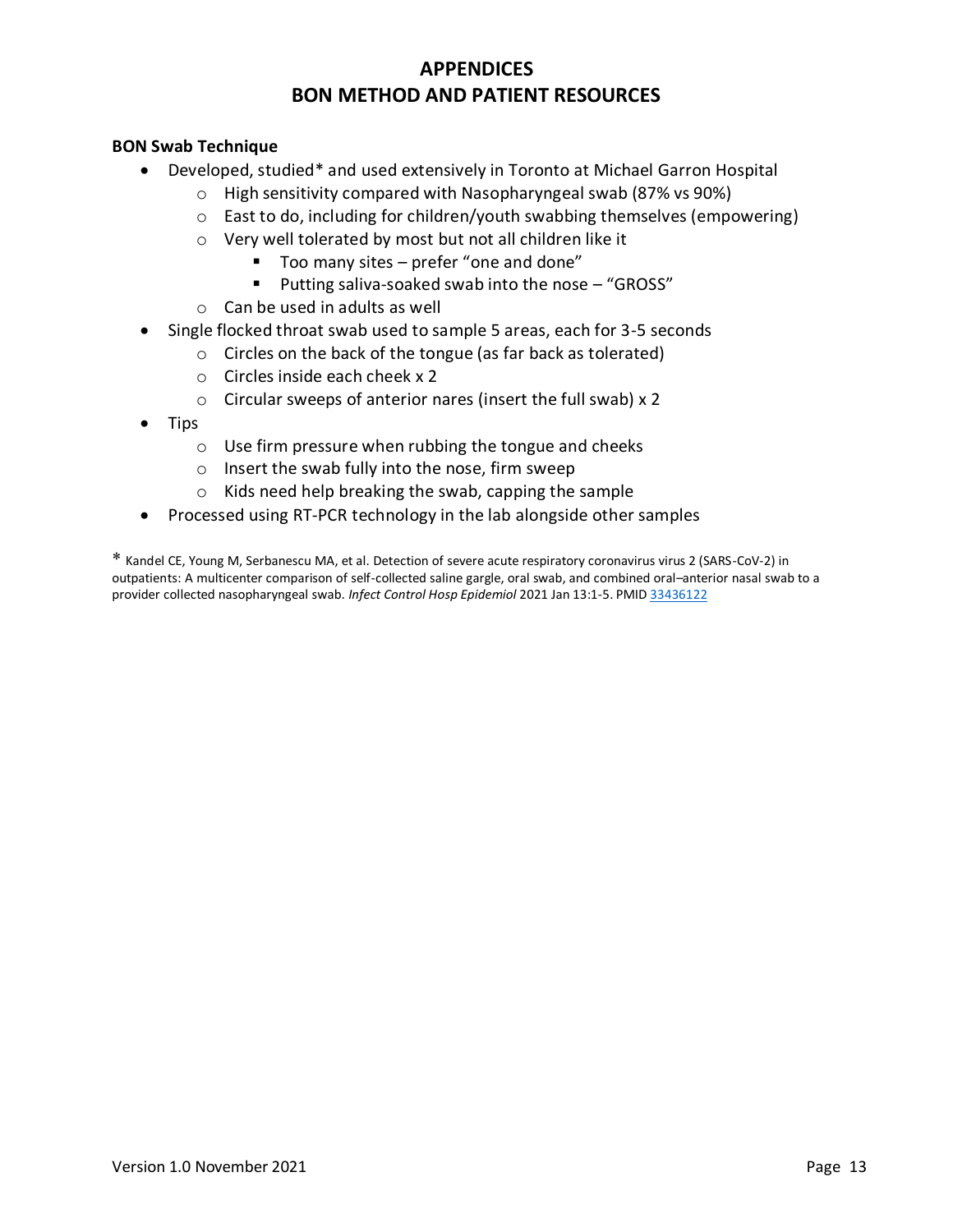# <span id="page-13-2"></span>**APPENDICES BON METHOD AND PATIENT RESOURCES**

#### <span id="page-13-0"></span>**BON Swab Technique**

- Developed, studie[d\\*](#page-13-1) and used extensively in Toronto at Michael Garron Hospital
	- o High sensitivity compared with Nasopharyngeal swab (87% vs 90%)
	- $\circ$  East to do, including for children/youth swabbing themselves (empowering)
	- o Very well tolerated by most but not all children like it
		- Too many sites prefer "one and done"
		- Putting saliva-soaked swab into the nose "GROSS"
	- o Can be used in adults as well
- Single flocked throat swab used to sample 5 areas, each for 3-5 seconds
	- o Circles on the back of the tongue (as far back as tolerated)
		- o Circles inside each cheek x 2
	- o Circular sweeps of anterior nares (insert the full swab) x 2
- Tips
	- o Use firm pressure when rubbing the tongue and cheeks
	- o Insert the swab fully into the nose, firm sweep
	- o Kids need help breaking the swab, capping the sample
- Processed using RT-PCR technology in the lab alongside other samples

<span id="page-13-1"></span>[\\*](#page-13-2) Kandel CE, Young M, Serbanescu MA, et al. Detection of severe acute respiratory coronavirus virus 2 (SARS-CoV-2) in outpatients: A multicenter comparison of self-collected saline gargle, oral swab, and combined oral–anterior nasal swab to a provider collected nasopharyngeal swab. *Infect Control Hosp Epidemiol* 2021 Jan 13:1-5. PMID [33436122](http://h.gov/pmc/articles/PMC7870921/)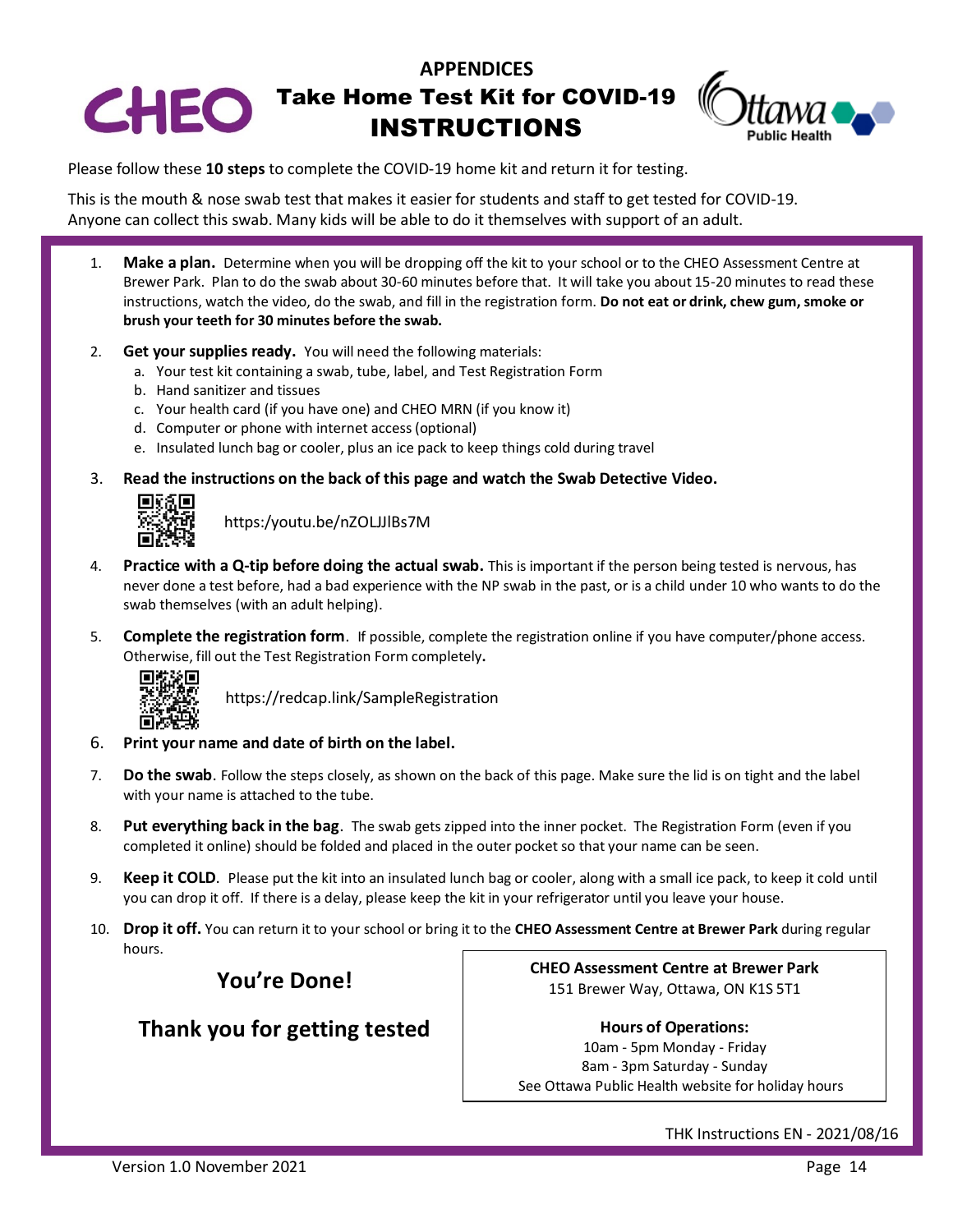

# CHEO Take Home Test Kit for COVID-19 INSTRUCTIONS



Please follow these **10 steps** to complete the COVID-19 home kit and return it for testing.

This is the mouth & nose swab test that makes it easier for students and staff to get tested for COVID-19. Anyone can collect this swab. Many kids will be able to do it themselves with support of an adult.

- 1. **Make a plan.** Determine when you will be dropping off the kit to your school or to the CHEO Assessment Centre at Brewer Park. Plan to do the swab about 30-60 minutes before that. It will take you about 15-20 minutes to read these instructions, watch the video, do the swab, and fill in the registration form. **Do not eat or drink, chew gum, smoke or brush your teeth for 30 minutes before the swab.**
- 2. **Get your supplies ready.** You will need the following materials:
	- a. Your test kit containing a swab, tube, label, and Test Registration Form
	- b. Hand sanitizer and tissues
	- c. Your health card (if you have one) and CHEO MRN (if you know it)
	- d. Computer or phone with internet access (optional)
	- e. Insulated lunch bag or cooler, plus an ice pack to keep things cold during travel
- 3. **Read the instructions on the back of this page and watch the Swab Detective Video.**



[https:/youtu.be/nZOLJJlBs7M](http://https:/youtu.be/nZOLJJlBs7M)

- 4. **Practice with a Q-tip before doing the actual swab.** This is important if the person being tested is nervous, has never done a test before, had a bad experience with the NP swab in the past, or is a child under 10 who wants to do the swab themselves (with an adult helping).
- 5. **Complete the registration form**. If possible, complete the registration online if you have computer/phone access. Otherwise, fill out the Test Registration Form completely**.**



<https://redcap.link/SampleRegistration>

- 6. **Print your name and date of birth on the label.**
- 7. **Do the swab**. Follow the steps closely, as shown on the back of this page. Make sure the lid is on tight and the label with your name is attached to the tube.
- 8. **Put everything back in the bag**. The swab gets zipped into the inner pocket. The Registration Form (even if you completed it online) should be folded and placed in the outer pocket so that your name can be seen.
- 9. **Keep it COLD**. Please put the kit into an insulated lunch bag or cooler, along with a small ice pack, to keep it cold until you can drop it off. If there is a delay, please keep the kit in your refrigerator until you leave your house.
- 10. **Drop it off.** You can return it to your school or bring it to the **CHEO Assessment Centre at Brewer Park** during regular hours.

**You're Done!**

# **Thank you for getting tested**

**CHEO Assessment Centre at Brewer Park** 151 Brewer Way, Ottawa, ON K1S 5T1

**Hours of Operations:**

10am - 5pm Monday - Friday 8am - 3pm Saturday - Sunday See Ottawa Public Health website for holiday hours

THK Instructions EN - 2021/08/16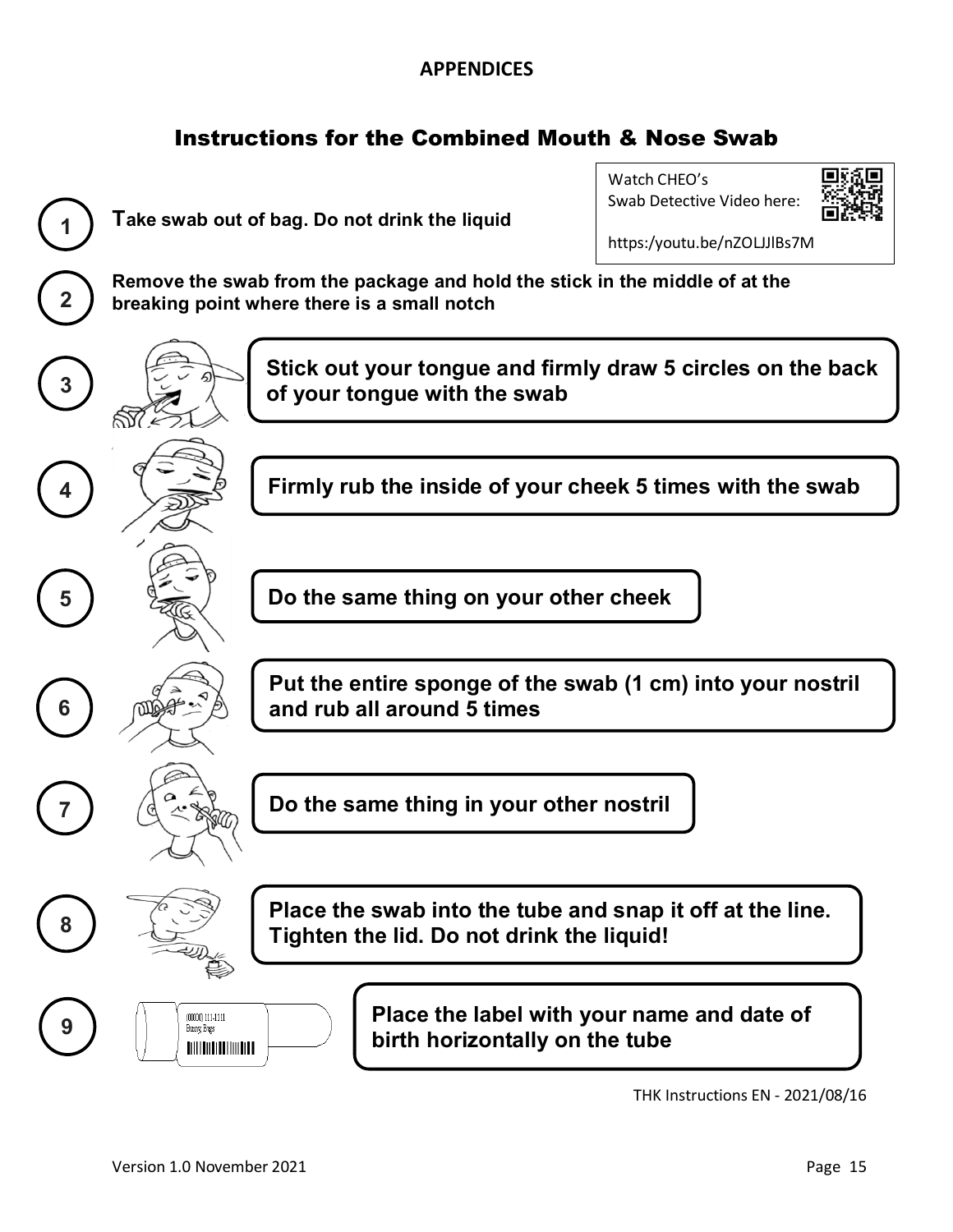# Instructions for the Combined Mouth & Nose Swab



THK Instructions EN - 2021/08/16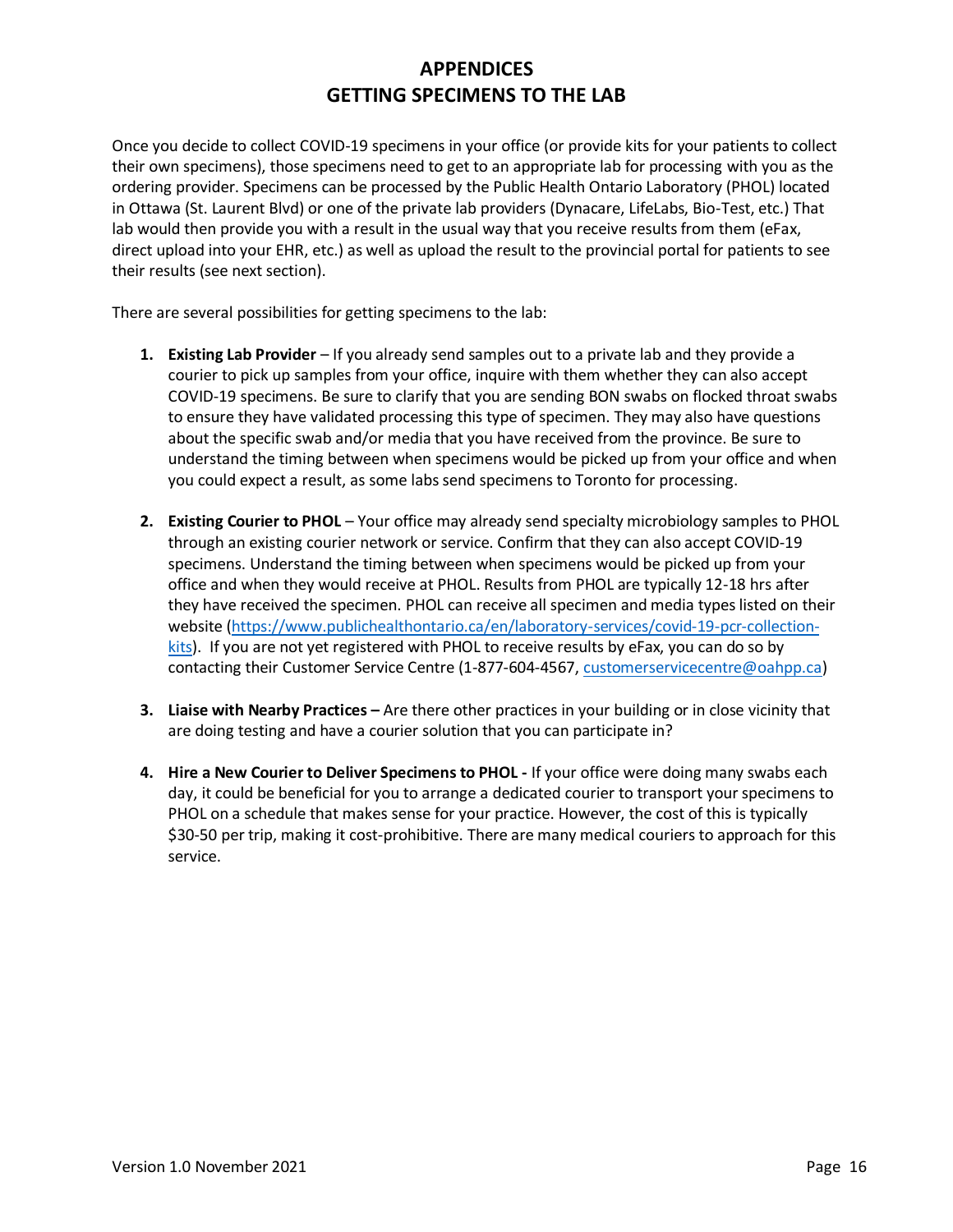# **APPENDICES GETTING SPECIMENS TO THE LAB**

<span id="page-16-0"></span>Once you decide to collect COVID-19 specimens in your office (or provide kits for your patients to collect their own specimens), those specimens need to get to an appropriate lab for processing with you as the ordering provider. Specimens can be processed by the Public Health Ontario Laboratory (PHOL) located in Ottawa (St. Laurent Blvd) or one of the private lab providers (Dynacare, LifeLabs, Bio-Test, etc.) That lab would then provide you with a result in the usual way that you receive results from them (eFax, direct upload into your EHR, etc.) as well as upload the result to the provincial portal for patients to see their results (see next section).

There are several possibilities for getting specimens to the lab:

- **1. Existing Lab Provider** If you already send samples out to a private lab and they provide a courier to pick up samples from your office, inquire with them whether they can also accept COVID-19 specimens. Be sure to clarify that you are sending BON swabs on flocked throat swabs to ensure they have validated processing this type of specimen. They may also have questions about the specific swab and/or media that you have received from the province. Be sure to understand the timing between when specimens would be picked up from your office and when you could expect a result, as some labs send specimens to Toronto for processing.
- **2. Existing Courier to PHOL** Your office may already send specialty microbiology samples to PHOL through an existing courier network or service. Confirm that they can also accept COVID-19 specimens. Understand the timing between when specimens would be picked up from your office and when they would receive at PHOL. Results from PHOL are typically 12-18 hrs after they have received the specimen. PHOL can receive all specimen and media types listed on their [website \(https://www.publichealthontario.ca/en/laboratory-services/covid-19-pcr-collection](https://www.publichealthontario.ca/en/laboratory-services/covid-19-pcr-collection-kits)kits). If you are not yet registered with PHOL to receive results by eFax, you can do so by contacting their Customer Service Centre (1-877-604-4567, [customerservicecentre@oahpp.ca](mailto:customerservicecentre@oahpp.ca))
- **3. Liaise with Nearby Practices –** Are there other practices in your building or in close vicinity that are doing testing and have a courier solution that you can participate in?
- **4. Hire a New Courier to Deliver Specimens to PHOL -** If your office were doing many swabs each day, it could be beneficial for you to arrange a dedicated courier to transport your specimens to PHOL on a schedule that makes sense for your practice. However, the cost of this is typically \$30-50 per trip, making it cost-prohibitive. There are many medical couriers to approach for this service.